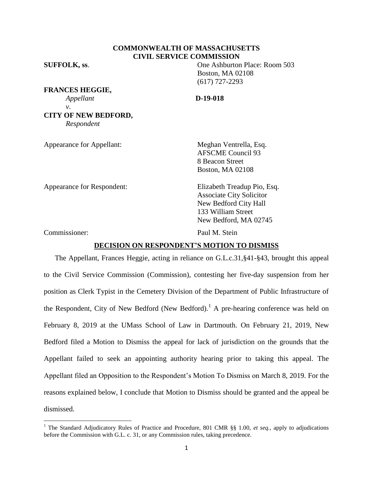# **COMMONWEALTH OF MASSACHUSETTS CIVIL SERVICE COMMISSION**

**FRANCES HEGGIE,** *Appellant* **D-19-018** *v*. **CITY OF NEW BEDFORD,** *Respondent*

**SUFFOLK, ss**. One Ashburton Place: Room 503 Boston, MA 02108 (617) 727-2293

Appearance for Appellant: Meghan Ventrella, Esq. AFSCME Council 93 8 Beacon Street Boston, MA 02108

Appearance for Respondent: Elizabeth Treadup Pio, Esq.

Associate City Solicitor New Bedford City Hall 133 William Street New Bedford, MA 02745

Commissioner: Paul M. Stein

 $\overline{\phantom{a}}$ 

# **DECISION ON RESPONDENT'S MOTION TO DISMISS**

The Appellant, Frances Heggie, acting in reliance on G.L.c.31,§41-§43, brought this appeal to the Civil Service Commission (Commission), contesting her five-day suspension from her position as Clerk Typist in the Cemetery Division of the Department of Public Infrastructure of the Respondent, City of New Bedford (New Bedford).<sup>1</sup> A pre-hearing conference was held on February 8, 2019 at the UMass School of Law in Dartmouth. On February 21, 2019, New Bedford filed a Motion to Dismiss the appeal for lack of jurisdiction on the grounds that the Appellant failed to seek an appointing authority hearing prior to taking this appeal. The Appellant filed an Opposition to the Respondent's Motion To Dismiss on March 8, 2019. For the reasons explained below, I conclude that Motion to Dismiss should be granted and the appeal be dismissed.

<sup>&</sup>lt;sup>1</sup> The Standard Adjudicatory Rules of Practice and Procedure, 801 CMR §§ 1.00, *et seq.*, apply to adjudications before the Commission with G.L. c. 31, or any Commission rules, taking precedence.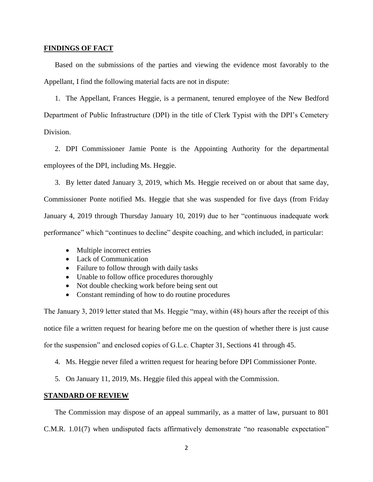### **FINDINGS OF FACT**

Based on the submissions of the parties and viewing the evidence most favorably to the Appellant, I find the following material facts are not in dispute:

1. The Appellant, Frances Heggie, is a permanent, tenured employee of the New Bedford Department of Public Infrastructure (DPI) in the title of Clerk Typist with the DPI's Cemetery Division.

2. DPI Commissioner Jamie Ponte is the Appointing Authority for the departmental employees of the DPI, including Ms. Heggie.

3. By letter dated January 3, 2019, which Ms. Heggie received on or about that same day, Commissioner Ponte notified Ms. Heggie that she was suspended for five days (from Friday January 4, 2019 through Thursday January 10, 2019) due to her "continuous inadequate work performance" which "continues to decline" despite coaching, and which included, in particular:

- Multiple incorrect entries
- Lack of Communication
- Failure to follow through with daily tasks
- Unable to follow office procedures thoroughly
- Not double checking work before being sent out
- Constant reminding of how to do routine procedures

The January 3, 2019 letter stated that Ms. Heggie "may, within (48) hours after the receipt of this notice file a written request for hearing before me on the question of whether there is just cause for the suspension" and enclosed copies of G.L.c. Chapter 31, Sections 41 through 45.

4. Ms. Heggie never filed a written request for hearing before DPI Commissioner Ponte.

5. On January 11, 2019, Ms. Heggie filed this appeal with the Commission.

# **STANDARD OF REVIEW**

The Commission may dispose of an appeal summarily, as a matter of law, pursuant to 801

C.M.R. 1.01(7) when undisputed facts affirmatively demonstrate "no reasonable expectation"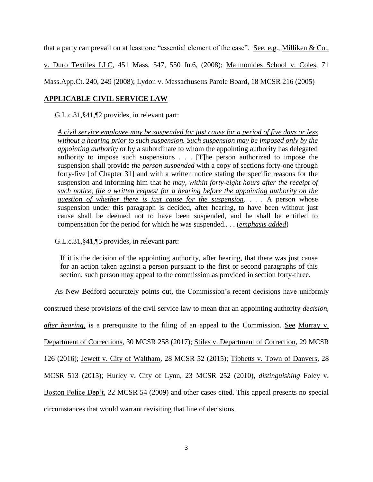that a party can prevail on at least one "essential element of the case". See, e.g., Milliken & Co.,

v. Duro Textiles LLC, 451 Mass. 547, 550 fn.6, (2008); Maimonides School v. Coles, 71

Mass.App.Ct. 240, 249 (2008); Lydon v. Massachusetts Parole Board, 18 MCSR 216 (2005)

# **APPLICABLE CIVIL SERVICE LAW**

G.L.c.31,§41,¶2 provides, in relevant part:

*A civil service employee may be suspended for just cause for a period of five days or less without a hearing prior to such suspension. Such suspension may be imposed only by the appointing authority* or by a subordinate to whom the appointing authority has delegated authority to impose such suspensions . . . [T]he person authorized to impose the suspension shall provide *the person suspended* with a copy of sections forty-one through forty-five [of Chapter 31] and with a written notice stating the specific reasons for the suspension and informing him that he *may, within forty-eight hours after the receipt of such notice, file a written request for a hearing before the appointing authority on the question of whether there is just cause for the suspension*. . . . A person whose suspension under this paragraph is decided, after hearing, to have been without just cause shall be deemed not to have been suspended, and he shall be entitled to compensation for the period for which he was suspended.. . . (*emphasis added*)

G.L.c.31,§41,¶5 provides, in relevant part:

If it is the decision of the appointing authority, after hearing, that there was just cause for an action taken against a person pursuant to the first or second paragraphs of this section, such person may appeal to the commission as provided in section forty-three.

As New Bedford accurately points out, the Commission's recent decisions have uniformly

construed these provisions of the civil service law to mean that an appointing authority *decision*,

*after hearing*, is a prerequisite to the filing of an appeal to the Commission. See Murray v.

Department of Corrections, 30 MCSR 258 (2017); Stiles v. Department of Correction, 29 MCSR

126 (2016); Jewett v. City of Waltham, 28 MCSR 52 (2015); Tibbetts v. Town of Danvers, 28

MCSR 513 (2015); Hurley v. City of Lynn, 23 MCSR 252 (2010), *distinguishing* Foley v.

Boston Police Dep't, 22 MCSR 54 (2009) and other cases cited. This appeal presents no special

circumstances that would warrant revisiting that line of decisions.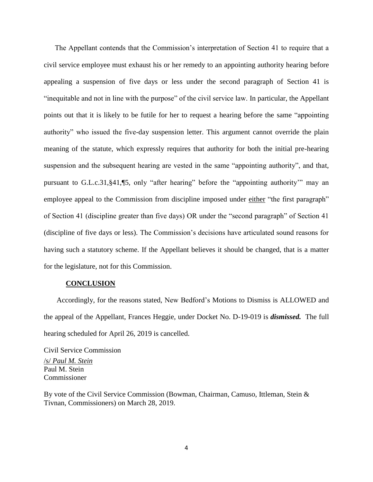The Appellant contends that the Commission's interpretation of Section 41 to require that a civil service employee must exhaust his or her remedy to an appointing authority hearing before appealing a suspension of five days or less under the second paragraph of Section 41 is "inequitable and not in line with the purpose" of the civil service law. In particular, the Appellant points out that it is likely to be futile for her to request a hearing before the same "appointing authority" who issued the five-day suspension letter. This argument cannot override the plain meaning of the statute, which expressly requires that authority for both the initial pre-hearing suspension and the subsequent hearing are vested in the same "appointing authority", and that, pursuant to G.L.c.31,§41,¶5, only "after hearing" before the "appointing authority'" may an employee appeal to the Commission from discipline imposed under either "the first paragraph" of Section 41 (discipline greater than five days) OR under the "second paragraph" of Section 41 (discipline of five days or less). The Commission's decisions have articulated sound reasons for having such a statutory scheme. If the Appellant believes it should be changed, that is a matter for the legislature, not for this Commission.

#### **CONCLUSION**

Accordingly, for the reasons stated, New Bedford's Motions to Dismiss is ALLOWED and the appeal of the Appellant, Frances Heggie, under Docket No. D-19-019 is *dismissed.* The full hearing scheduled for April 26, 2019 is cancelled.

Civil Service Commission /s/ *Paul M. Stein* Paul M. Stein Commissioner

By vote of the Civil Service Commission (Bowman, Chairman, Camuso, Ittleman, Stein & Tivnan, Commissioners) on March 28, 2019.